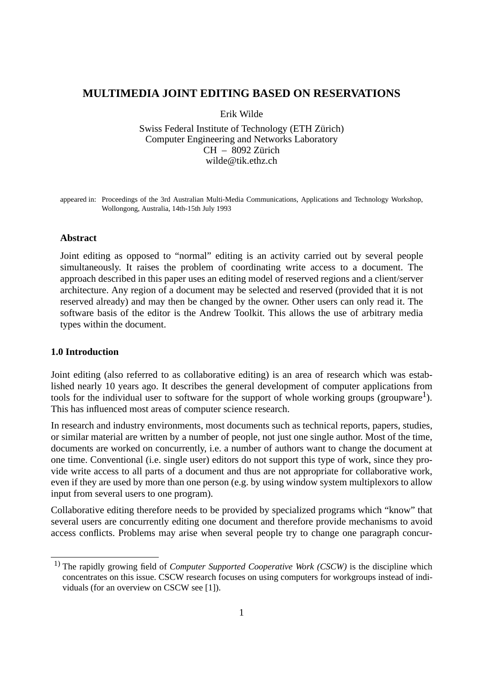# **MULTIMEDIA JOINT EDITING BASED ON RESERVATIONS**

Erik Wilde

Swiss Federal Institute of Technology (ETH Zürich) Computer Engineering and Networks Laboratory CH – 8092 Zürich wilde@tik.ethz.ch

appeared in: Proceedings of the 3rd Australian Multi-Media Communications, Applications and Technology Workshop, Wollongong, Australia, 14th-15th July 1993

#### **Abstract**

Joint editing as opposed to "normal" editing is an activity carried out by several people simultaneously. It raises the problem of coordinating write access to a document. The approach described in this paper uses an editing model of reserved regions and a client/server architecture. Any region of a document may be selected and reserved (provided that it is not reserved already) and may then be changed by the owner. Other users can only read it. The software basis of the editor is the Andrew Toolkit. This allows the use of arbitrary media types within the document.

#### **1.0 Introduction**

Joint editing (also referred to as collaborative editing) is an area of research which was established nearly 10 years ago. It describes the general development of computer applications from tools for the individual user to software for the support of whole working groups (groupware<sup>1</sup>). This has influenced most areas of computer science research.

In research and industry environments, most documents such as technical reports, papers, studies, or similar material are written by a number of people, not just one single author. Most of the time, documents are worked on concurrently, i.e. a number of authors want to change the document at one time. Conventional (i.e. single user) editors do not support this type of work, since they provide write access to all parts of a document and thus are not appropriate for collaborative work, even if they are used by more than one person (e.g. by using window system multiplexors to allow input from several users to one program).

Collaborative editing therefore needs to be provided by specialized programs which "know" that several users are concurrently editing one document and therefore provide mechanisms to avoid access conflicts. Problems may arise when several people try to change one paragraph concur-

<sup>&</sup>lt;sup>1)</sup> The rapidly growing field of *Computer Supported Cooperative Work (CSCW)* is the discipline which concentrates on this issue. CSCW research focuses on using computers for workgroups instead of individuals (for an overview on CSCW see [1]).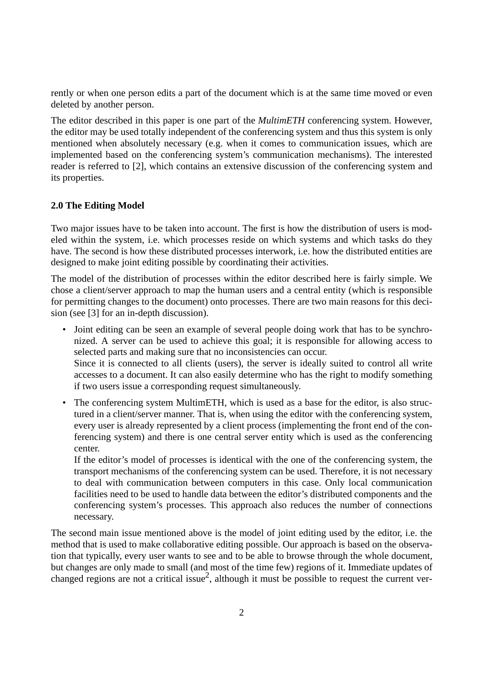rently or when one person edits a part of the document which is at the same time moved or even deleted by another person.

The editor described in this paper is one part of the *MultimETH* conferencing system. However, the editor may be used totally independent of the conferencing system and thus this system is only mentioned when absolutely necessary (e.g. when it comes to communication issues, which are implemented based on the conferencing system's communication mechanisms). The interested reader is referred to [2], which contains an extensive discussion of the conferencing system and its properties.

## **2.0 The Editing Model**

Two major issues have to be taken into account. The first is how the distribution of users is modeled within the system, i.e. which processes reside on which systems and which tasks do they have. The second is how these distributed processes interwork, i.e. how the distributed entities are designed to make joint editing possible by coordinating their activities.

The model of the distribution of processes within the editor described here is fairly simple. We chose a client/server approach to map the human users and a central entity (which is responsible for permitting changes to the document) onto processes. There are two main reasons for this decision (see [3] for an in-depth discussion).

- Joint editing can be seen an example of several people doing work that has to be synchronized. A server can be used to achieve this goal; it is responsible for allowing access to selected parts and making sure that no inconsistencies can occur. Since it is connected to all clients (users), the server is ideally suited to control all write accesses to a document. It can also easily determine who has the right to modify something if two users issue a corresponding request simultaneously.
- The conferencing system MultimETH, which is used as a base for the editor, is also structured in a client/server manner. That is, when using the editor with the conferencing system, every user is already represented by a client process (implementing the front end of the conferencing system) and there is one central server entity which is used as the conferencing center.

If the editor's model of processes is identical with the one of the conferencing system, the transport mechanisms of the conferencing system can be used. Therefore, it is not necessary to deal with communication between computers in this case. Only local communication facilities need to be used to handle data between the editor's distributed components and the conferencing system's processes. This approach also reduces the number of connections necessary.

The second main issue mentioned above is the model of joint editing used by the editor, i.e. the method that is used to make collaborative editing possible. Our approach is based on the observation that typically, every user wants to see and to be able to browse through the whole document, but changes are only made to small (and most of the time few) regions of it. Immediate updates of changed regions are not a critical issue<sup>2</sup>, although it must be possible to request the current ver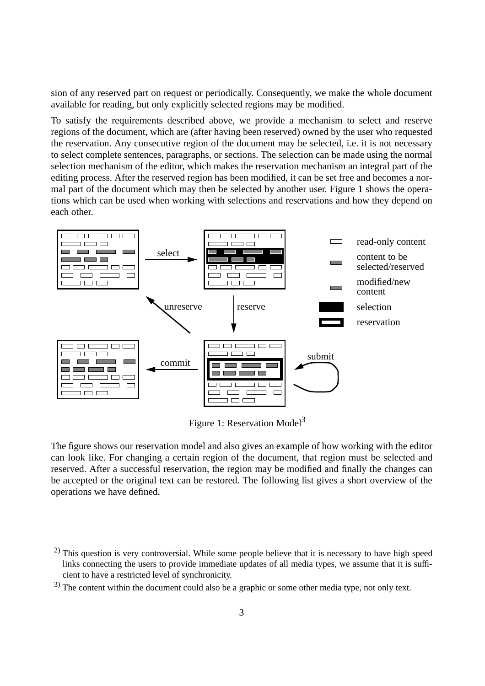sion of any reserved part on request or periodically. Consequently, we make the whole document available for reading, but only explicitly selected regions may be modified.

To satisfy the requirements described above, we provide a mechanism to select and reserve regions of the document, which are (after having been reserved) owned by the user who requested the reservation. Any consecutive region of the document may be selected, i.e. it is not necessary to select complete sentences, paragraphs, or sections. The selection can be made using the normal selection mechanism of the editor, which makes the reservation mechanism an integral part of the editing process. After the reserved region has been modified, it can be set free and becomes a normal part of the document which may then be selected by another user. Figure 1 shows the operations which can be used when working with selections and reservations and how they depend on each other.



Figure 1: Reservation Model<sup>3</sup>

The figure shows our reservation model and also gives an example of how working with the editor can look like. For changing a certain region of the document, that region must be selected and reserved. After a successful reservation, the region may be modified and finally the changes can be accepted or the original text can be restored. The following list gives a short overview of the operations we have defined.

<sup>&</sup>lt;sup>2)</sup> This question is very controversial. While some people believe that it is necessary to have high speed links connecting the users to provide immediate updates of all media types, we assume that it is sufficient to have a restricted level of synchronicity.

<sup>&</sup>lt;sup>3)</sup> The content within the document could also be a graphic or some other media type, not only text.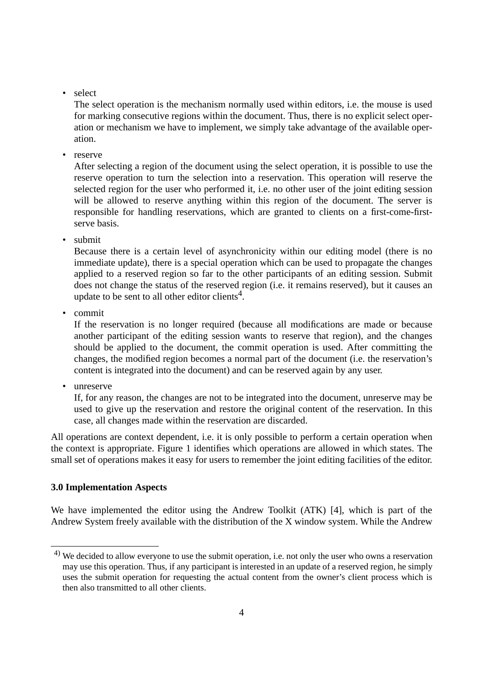• select

The select operation is the mechanism normally used within editors, i.e. the mouse is used for marking consecutive regions within the document. Thus, there is no explicit select operation or mechanism we have to implement, we simply take advantage of the available operation.

• reserve

After selecting a region of the document using the select operation, it is possible to use the reserve operation to turn the selection into a reservation. This operation will reserve the selected region for the user who performed it, i.e. no other user of the joint editing session will be allowed to reserve anything within this region of the document. The server is responsible for handling reservations, which are granted to clients on a first-come-firstserve basis.

• submit

Because there is a certain level of asynchronicity within our editing model (there is no immediate update), there is a special operation which can be used to propagate the changes applied to a reserved region so far to the other participants of an editing session. Submit does not change the status of the reserved region (i.e. it remains reserved), but it causes an update to be sent to all other editor clients<sup>4</sup>.

• commit

If the reservation is no longer required (because all modifications are made or because another participant of the editing session wants to reserve that region), and the changes should be applied to the document, the commit operation is used. After committing the changes, the modified region becomes a normal part of the document (i.e. the reservation's content is integrated into the document) and can be reserved again by any user.

• unreserve

If, for any reason, the changes are not to be integrated into the document, unreserve may be used to give up the reservation and restore the original content of the reservation. In this case, all changes made within the reservation are discarded.

All operations are context dependent, i.e. it is only possible to perform a certain operation when the context is appropriate. Figure 1 identifies which operations are allowed in which states. The small set of operations makes it easy for users to remember the joint editing facilities of the editor.

#### **3.0 Implementation Aspects**

We have implemented the editor using the Andrew Toolkit (ATK) [4], which is part of the Andrew System freely available with the distribution of the X window system. While the Andrew

<sup>&</sup>lt;sup>4)</sup> We decided to allow everyone to use the submit operation, i.e. not only the user who owns a reservation may use this operation. Thus, if any participant is interested in an update of a reserved region, he simply uses the submit operation for requesting the actual content from the owner's client process which is then also transmitted to all other clients.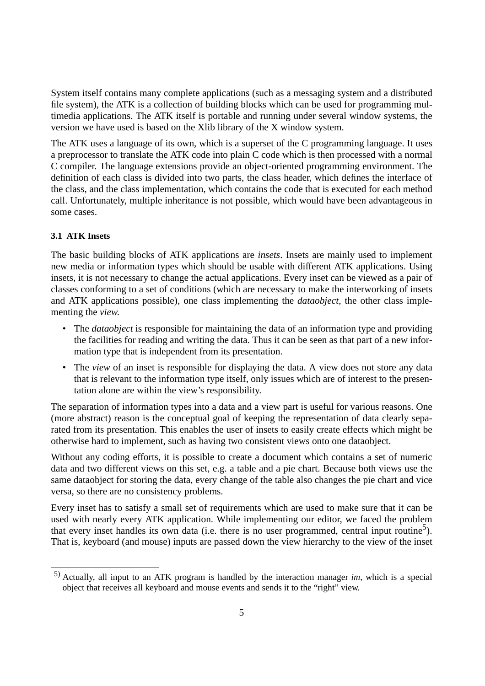System itself contains many complete applications (such as a messaging system and a distributed file system), the ATK is a collection of building blocks which can be used for programming multimedia applications. The ATK itself is portable and running under several window systems, the version we have used is based on the Xlib library of the X window system.

The ATK uses a language of its own, which is a superset of the C programming language. It uses a preprocessor to translate the ATK code into plain C code which is then processed with a normal C compiler. The language extensions provide an object-oriented programming environment. The definition of each class is divided into two parts, the class header, which defines the interface of the class, and the class implementation, which contains the code that is executed for each method call. Unfortunately, multiple inheritance is not possible, which would have been advantageous in some cases.

## **3.1 ATK Insets**

The basic building blocks of ATK applications are *insets*. Insets are mainly used to implement new media or information types which should be usable with different ATK applications. Using insets, it is not necessary to change the actual applications. Every inset can be viewed as a pair of classes conforming to a set of conditions (which are necessary to make the interworking of insets and ATK applications possible), one class implementing the *dataobject*, the other class implementing the *view*.

- The *dataobject* is responsible for maintaining the data of an information type and providing the facilities for reading and writing the data. Thus it can be seen as that part of a new information type that is independent from its presentation.
- The *view* of an inset is responsible for displaying the data. A view does not store any data that is relevant to the information type itself, only issues which are of interest to the presentation alone are within the view's responsibility.

The separation of information types into a data and a view part is useful for various reasons. One (more abstract) reason is the conceptual goal of keeping the representation of data clearly separated from its presentation. This enables the user of insets to easily create effects which might be otherwise hard to implement, such as having two consistent views onto one dataobject.

Without any coding efforts, it is possible to create a document which contains a set of numeric data and two different views on this set, e.g. a table and a pie chart. Because both views use the same dataobject for storing the data, every change of the table also changes the pie chart and vice versa, so there are no consistency problems.

Every inset has to satisfy a small set of requirements which are used to make sure that it can be used with nearly every ATK application. While implementing our editor, we faced the problem that every inset handles its own data (i.e. there is no user programmed, central input routine<sup>5</sup>). That is, keyboard (and mouse) inputs are passed down the view hierarchy to the view of the inset

<sup>5)</sup> Actually, all input to an ATK program is handled by the interaction manager *im*, which is a special object that receives all keyboard and mouse events and sends it to the "right" view.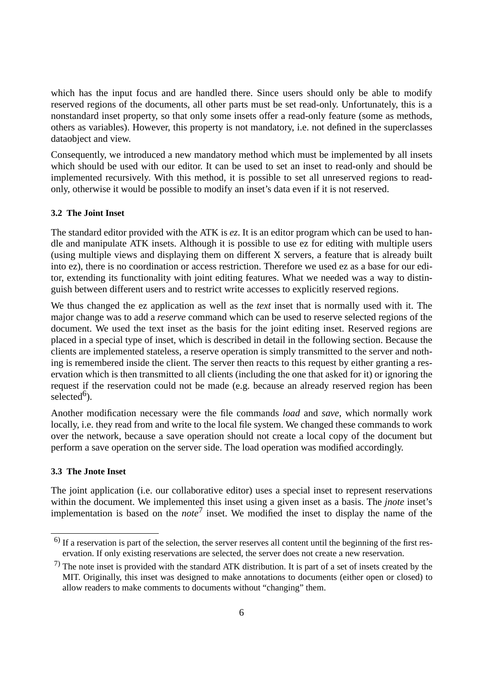which has the input focus and are handled there. Since users should only be able to modify reserved regions of the documents, all other parts must be set read-only. Unfortunately, this is a nonstandard inset property, so that only some insets offer a read-only feature (some as methods, others as variables). However, this property is not mandatory, i.e. not defined in the superclasses dataobject and view.

Consequently, we introduced a new mandatory method which must be implemented by all insets which should be used with our editor. It can be used to set an inset to read-only and should be implemented recursively. With this method, it is possible to set all unreserved regions to readonly, otherwise it would be possible to modify an inset's data even if it is not reserved.

#### **3.2 The Joint Inset**

The standard editor provided with the ATK is *ez*. It is an editor program which can be used to handle and manipulate ATK insets. Although it is possible to use ez for editing with multiple users (using multiple views and displaying them on different X servers, a feature that is already built into ez), there is no coordination or access restriction. Therefore we used ez as a base for our editor, extending its functionality with joint editing features. What we needed was a way to distinguish between different users and to restrict write accesses to explicitly reserved regions.

We thus changed the ez application as well as the *text* inset that is normally used with it. The major change was to add a *reserve* command which can be used to reserve selected regions of the document. We used the text inset as the basis for the joint editing inset. Reserved regions are placed in a special type of inset, which is described in detail in the following section. Because the clients are implemented stateless, a reserve operation is simply transmitted to the server and nothing is remembered inside the client. The server then reacts to this request by either granting a reservation which is then transmitted to all clients (including the one that asked for it) or ignoring the request if the reservation could not be made (e.g. because an already reserved region has been selected $<sup>6</sup>$ ).</sup>

Another modification necessary were the file commands *load* and *save*, which normally work locally, i.e. they read from and write to the local file system. We changed these commands to work over the network, because a save operation should not create a local copy of the document but perform a save operation on the server side. The load operation was modified accordingly.

### **3.3 The Jnote Inset**

The joint application (i.e. our collaborative editor) uses a special inset to represent reservations within the document. We implemented this inset using a given inset as a basis. The *jnote* inset's implementation is based on the *note*7 inset. We modified the inset to display the name of the

<sup>6)</sup> If a reservation is part of the selection, the server reserves all content until the beginning of the first reservation. If only existing reservations are selected, the server does not create a new reservation.

 $<sup>7</sup>$ ) The note inset is provided with the standard ATK distribution. It is part of a set of insets created by the</sup> MIT. Originally, this inset was designed to make annotations to documents (either open or closed) to allow readers to make comments to documents without "changing" them.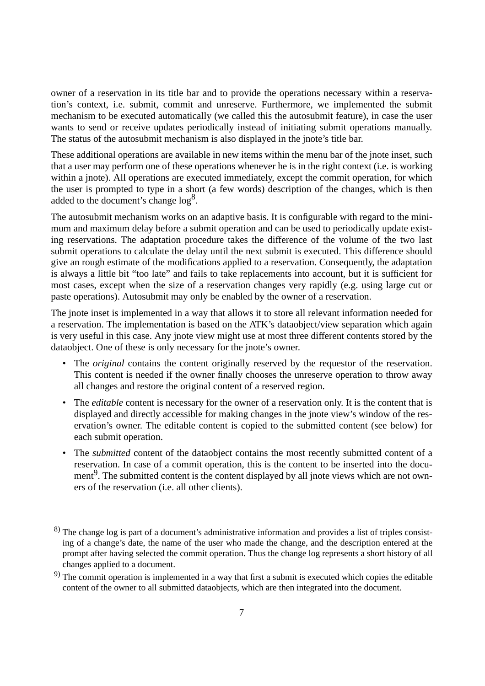owner of a reservation in its title bar and to provide the operations necessary within a reservation's context, i.e. submit, commit and unreserve. Furthermore, we implemented the submit mechanism to be executed automatically (we called this the autosubmit feature), in case the user wants to send or receive updates periodically instead of initiating submit operations manually. The status of the autosubmit mechanism is also displayed in the jnote's title bar.

These additional operations are available in new items within the menu bar of the jnote inset, such that a user may perform one of these operations whenever he is in the right context (i.e. is working within a jnote). All operations are executed immediately, except the commit operation, for which the user is prompted to type in a short (a few words) description of the changes, which is then added to the document's change  $log<sup>8</sup>$ .

The autosubmit mechanism works on an adaptive basis. It is configurable with regard to the minimum and maximum delay before a submit operation and can be used to periodically update existing reservations. The adaptation procedure takes the difference of the volume of the two last submit operations to calculate the delay until the next submit is executed. This difference should give an rough estimate of the modifications applied to a reservation. Consequently, the adaptation is always a little bit "too late" and fails to take replacements into account, but it is sufficient for most cases, except when the size of a reservation changes very rapidly (e.g. using large cut or paste operations). Autosubmit may only be enabled by the owner of a reservation.

The jnote inset is implemented in a way that allows it to store all relevant information needed for a reservation. The implementation is based on the ATK's dataobject/view separation which again is very useful in this case. Any jnote view might use at most three different contents stored by the dataobject. One of these is only necessary for the jnote's owner.

- The *original* contains the content originally reserved by the requestor of the reservation. This content is needed if the owner finally chooses the unreserve operation to throw away all changes and restore the original content of a reserved region.
- The *editable* content is necessary for the owner of a reservation only. It is the content that is displayed and directly accessible for making changes in the jnote view's window of the reservation's owner. The editable content is copied to the submitted content (see below) for each submit operation.
- The *submitted* content of the dataobject contains the most recently submitted content of a reservation. In case of a commit operation, this is the content to be inserted into the document<sup>9</sup>. The submitted content is the content displayed by all jnote views which are not owners of the reservation (i.e. all other clients).

<sup>8)</sup> The change log is part of a document's administrative information and provides a list of triples consisting of a change's date, the name of the user who made the change, and the description entered at the prompt after having selected the commit operation. Thus the change log represents a short history of all changes applied to a document.

<sup>9)</sup> The commit operation is implemented in a way that first a submit is executed which copies the editable content of the owner to all submitted dataobjects, which are then integrated into the document.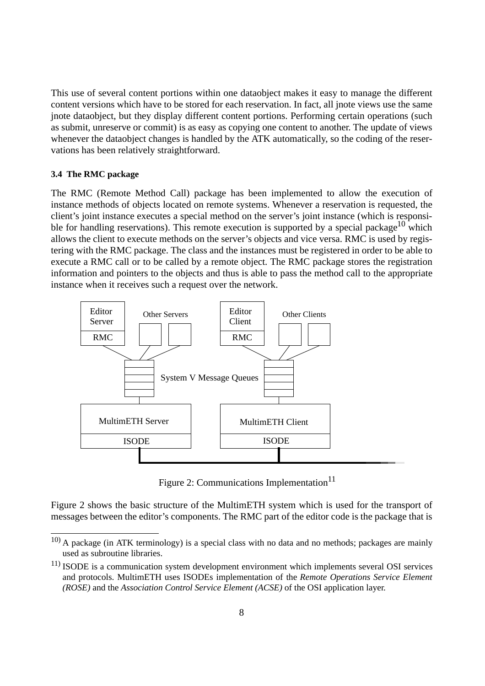This use of several content portions within one dataobject makes it easy to manage the different content versions which have to be stored for each reservation. In fact, all jnote views use the same jnote dataobject, but they display different content portions. Performing certain operations (such as submit, unreserve or commit) is as easy as copying one content to another. The update of views whenever the dataobject changes is handled by the ATK automatically, so the coding of the reservations has been relatively straightforward.

### **3.4 The RMC package**

The RMC (Remote Method Call) package has been implemented to allow the execution of instance methods of objects located on remote systems. Whenever a reservation is requested, the client's joint instance executes a special method on the server's joint instance (which is responsible for handling reservations). This remote execution is supported by a special package<sup>10</sup> which allows the client to execute methods on the server's objects and vice versa. RMC is used by registering with the RMC package. The class and the instances must be registered in order to be able to execute a RMC call or to be called by a remote object. The RMC package stores the registration information and pointers to the objects and thus is able to pass the method call to the appropriate instance when it receives such a request over the network.



Figure 2: Communications Implementation<sup>11</sup>

Figure 2 shows the basic structure of the MultimETH system which is used for the transport of messages between the editor's components. The RMC part of the editor code is the package that is

<sup>10)</sup> A package (in ATK terminology) is a special class with no data and no methods; packages are mainly used as subroutine libraries.

 $11)$  ISODE is a communication system development environment which implements several OSI services and protocols. MultimETH uses ISODEs implementation of the *Remote Operations Service Element (ROSE)* and the *Association Control Service Element (ACSE)* of the OSI application layer.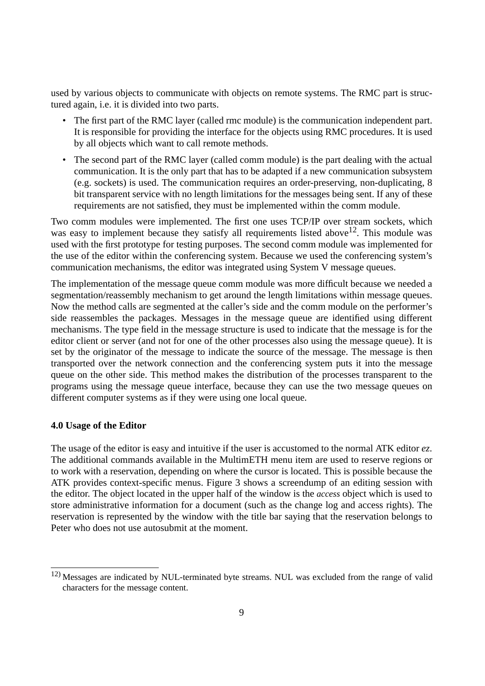used by various objects to communicate with objects on remote systems. The RMC part is structured again, i.e. it is divided into two parts.

- The first part of the RMC layer (called rmc module) is the communication independent part. It is responsible for providing the interface for the objects using RMC procedures. It is used by all objects which want to call remote methods.
- The second part of the RMC layer (called comm module) is the part dealing with the actual communication. It is the only part that has to be adapted if a new communication subsystem (e.g. sockets) is used. The communication requires an order-preserving, non-duplicating, 8 bit transparent service with no length limitations for the messages being sent. If any of these requirements are not satisfied, they must be implemented within the comm module.

Two comm modules were implemented. The first one uses TCP/IP over stream sockets, which was easy to implement because they satisfy all requirements listed above<sup>12</sup>. This module was used with the first prototype for testing purposes. The second comm module was implemented for the use of the editor within the conferencing system. Because we used the conferencing system's communication mechanisms, the editor was integrated using System V message queues.

The implementation of the message queue comm module was more difficult because we needed a segmentation/reassembly mechanism to get around the length limitations within message queues. Now the method calls are segmented at the caller's side and the comm module on the performer's side reassembles the packages. Messages in the message queue are identified using different mechanisms. The type field in the message structure is used to indicate that the message is for the editor client or server (and not for one of the other processes also using the message queue). It is set by the originator of the message to indicate the source of the message. The message is then transported over the network connection and the conferencing system puts it into the message queue on the other side. This method makes the distribution of the processes transparent to the programs using the message queue interface, because they can use the two message queues on different computer systems as if they were using one local queue.

#### **4.0 Usage of the Editor**

The usage of the editor is easy and intuitive if the user is accustomed to the normal ATK editor *ez*. The additional commands available in the MultimETH menu item are used to reserve regions or to work with a reservation, depending on where the cursor is located. This is possible because the ATK provides context-specific menus. Figure 3 shows a screendump of an editing session with the editor. The object located in the upper half of the window is the *access* object which is used to store administrative information for a document (such as the change log and access rights). The reservation is represented by the window with the title bar saying that the reservation belongs to Peter who does not use autosubmit at the moment.

<sup>12)</sup> Messages are indicated by NUL-terminated byte streams. NUL was excluded from the range of valid characters for the message content.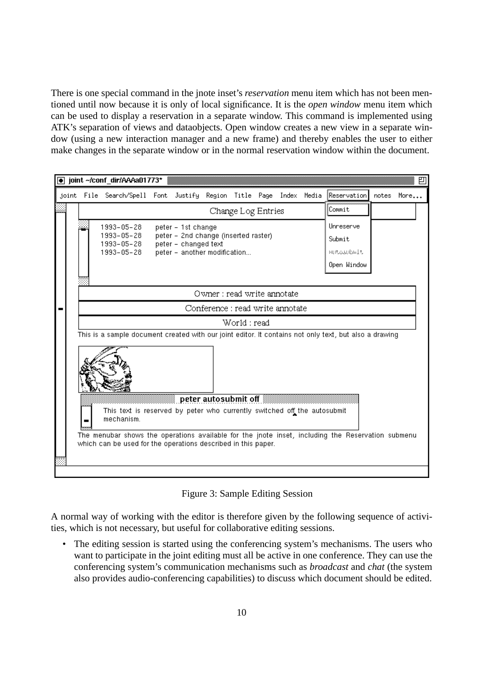There is one special command in the jnote inset's *reservation* menu item which has not been mentioned until now because it is only of local significance. It is the *open window* menu item which can be used to display a reservation in a separate window. This command is implemented using ATK's separation of views and dataobjects. Open window creates a new view in a separate window (using a new interaction manager and a new frame) and thereby enables the user to either make changes in the separate window or in the normal reservation window within the document.

|                                                                                                                                      | joint ~/conf_dir/AAAa01773*                                                                       |  |                                                                                                                    |  |  |  |  |  |                                                  |       |      | 凹 |
|--------------------------------------------------------------------------------------------------------------------------------------|---------------------------------------------------------------------------------------------------|--|--------------------------------------------------------------------------------------------------------------------|--|--|--|--|--|--------------------------------------------------|-------|------|---|
|                                                                                                                                      | joint File Search/Spell Font Justify Region Title Page Index Media                                |  |                                                                                                                    |  |  |  |  |  | Reservation                                      | notes | More |   |
| Change Log Entries                                                                                                                   |                                                                                                   |  |                                                                                                                    |  |  |  |  |  | Commit                                           |       |      |   |
|                                                                                                                                      | 1993-05-28<br>1993-05-28<br>1993-05-28<br>1993-05-28                                              |  | peter - 1st change<br>peter - 2nd change (inserted raster)<br>peter - changed text<br>peter - another modification |  |  |  |  |  | Unneserve<br>Submit<br>HULOSUDAIL<br>Open Window |       |      |   |
| Owner : read write annotate                                                                                                          |                                                                                                   |  |                                                                                                                    |  |  |  |  |  |                                                  |       |      |   |
| Conference : read write annotate                                                                                                     |                                                                                                   |  |                                                                                                                    |  |  |  |  |  |                                                  |       |      |   |
| World : read                                                                                                                         |                                                                                                   |  |                                                                                                                    |  |  |  |  |  |                                                  |       |      |   |
| This is a sample document created with our joint editor. It contains not only text, but also a drawing                               |                                                                                                   |  |                                                                                                                    |  |  |  |  |  |                                                  |       |      |   |
| peter autosubmit off <b>All Strategies</b><br>This text is reserved by peter who currently switched off the autosubmit<br>mechanism. |                                                                                                   |  |                                                                                                                    |  |  |  |  |  |                                                  |       |      |   |
|                                                                                                                                      | The menubar shows the operations available for the jnote inset, including the Reservation submenu |  |                                                                                                                    |  |  |  |  |  |                                                  |       |      |   |
|                                                                                                                                      | which can be used for the operations described in this paper.                                     |  |                                                                                                                    |  |  |  |  |  |                                                  |       |      |   |

## Figure 3: Sample Editing Session

A normal way of working with the editor is therefore given by the following sequence of activities, which is not necessary, but useful for collaborative editing sessions.

• The editing session is started using the conferencing system's mechanisms. The users who want to participate in the joint editing must all be active in one conference. They can use the conferencing system's communication mechanisms such as *broadcast* and *chat* (the system also provides audio-conferencing capabilities) to discuss which document should be edited.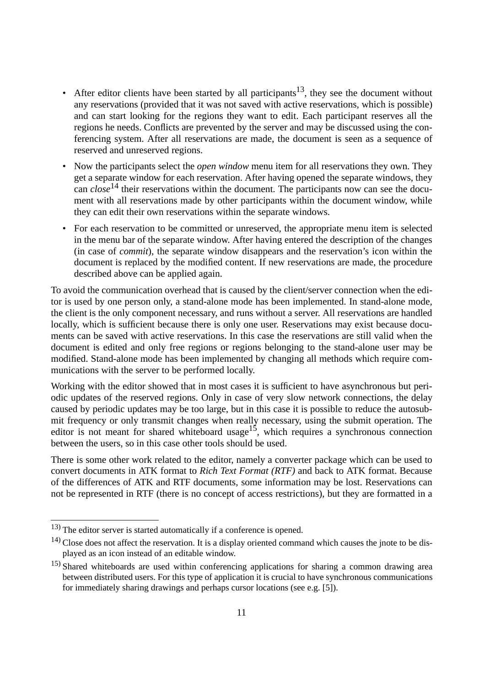- After editor clients have been started by all participants<sup>13</sup>, they see the document without any reservations (provided that it was not saved with active reservations, which is possible) and can start looking for the regions they want to edit. Each participant reserves all the regions he needs. Conflicts are prevented by the server and may be discussed using the conferencing system. After all reservations are made, the document is seen as a sequence of reserved and unreserved regions.
- Now the participants select the *open window* menu item for all reservations they own. They get a separate window for each reservation. After having opened the separate windows, they can *close*<sup>14</sup> their reservations within the document. The participants now can see the document with all reservations made by other participants within the document window, while they can edit their own reservations within the separate windows.
- For each reservation to be committed or unreserved, the appropriate menu item is selected in the menu bar of the separate window. After having entered the description of the changes (in case of *commit*), the separate window disappears and the reservation's icon within the document is replaced by the modified content. If new reservations are made, the procedure described above can be applied again.

To avoid the communication overhead that is caused by the client/server connection when the editor is used by one person only, a stand-alone mode has been implemented. In stand-alone mode, the client is the only component necessary, and runs without a server. All reservations are handled locally, which is sufficient because there is only one user. Reservations may exist because documents can be saved with active reservations. In this case the reservations are still valid when the document is edited and only free regions or regions belonging to the stand-alone user may be modified. Stand-alone mode has been implemented by changing all methods which require communications with the server to be performed locally.

Working with the editor showed that in most cases it is sufficient to have asynchronous but periodic updates of the reserved regions. Only in case of very slow network connections, the delay caused by periodic updates may be too large, but in this case it is possible to reduce the autosubmit frequency or only transmit changes when really necessary, using the submit operation. The editor is not meant for shared whiteboard usage<sup>15</sup>, which requires a synchronous connection between the users, so in this case other tools should be used.

There is some other work related to the editor, namely a converter package which can be used to convert documents in ATK format to *Rich Text Format (RTF)* and back to ATK format. Because of the differences of ATK and RTF documents, some information may be lost. Reservations can not be represented in RTF (there is no concept of access restrictions), but they are formatted in a

<sup>13)</sup> The editor server is started automatically if a conference is opened.

<sup>&</sup>lt;sup>14)</sup> Close does not affect the reservation. It is a display oriented command which causes the jnote to be displayed as an icon instead of an editable window.

<sup>&</sup>lt;sup>15)</sup> Shared whiteboards are used within conferencing applications for sharing a common drawing area between distributed users. For this type of application it is crucial to have synchronous communications for immediately sharing drawings and perhaps cursor locations (see e.g. [5]).